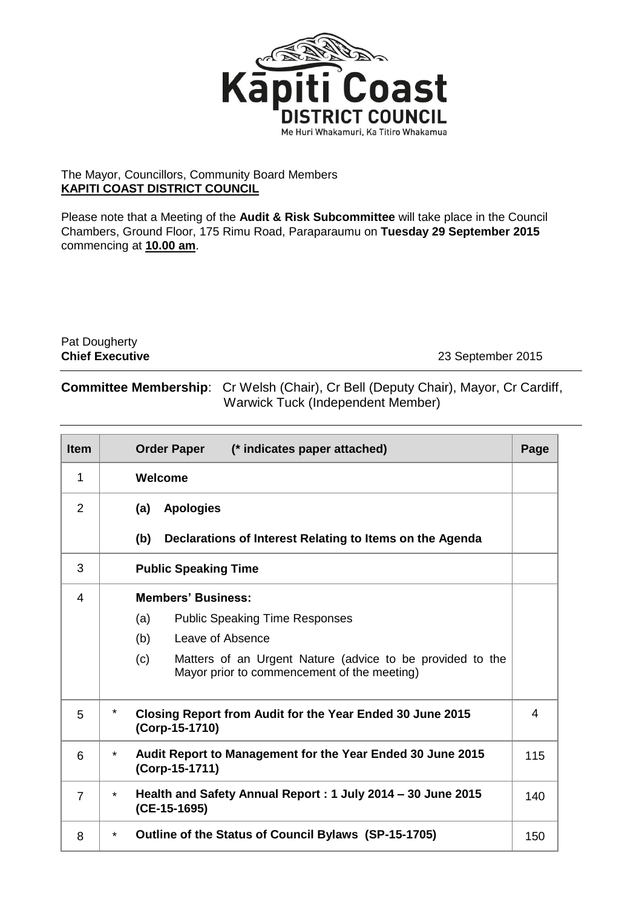

## The Mayor, Councillors, Community Board Members **KAPITI COAST DISTRICT COUNCIL**

Please note that a Meeting of the **Audit & Risk Subcommittee** will take place in the Council Chambers, Ground Floor, 175 Rimu Road, Paraparaumu on **Tuesday 29 September 2015** commencing at **10.00 am**.

Pat Dougherty<br>Chief Executive

**Chief Executive** 23 September 2015

## **Committee Membership**: Cr Welsh (Chair), Cr Bell (Deputy Chair), Mayor, Cr Cardiff, Warwick Tuck (Independent Member)

| <b>Item</b>    | <b>Order Paper</b><br>(* indicates paper attached)                                                              | Page |  |  |
|----------------|-----------------------------------------------------------------------------------------------------------------|------|--|--|
| 1              | Welcome                                                                                                         |      |  |  |
| 2              | <b>Apologies</b><br>(a)                                                                                         |      |  |  |
|                | (b)<br>Declarations of Interest Relating to Items on the Agenda                                                 |      |  |  |
| 3              | <b>Public Speaking Time</b>                                                                                     |      |  |  |
| 4              | <b>Members' Business:</b>                                                                                       |      |  |  |
|                | (a)<br><b>Public Speaking Time Responses</b>                                                                    |      |  |  |
|                | (b)<br>Leave of Absence                                                                                         |      |  |  |
|                | Matters of an Urgent Nature (advice to be provided to the<br>(c)<br>Mayor prior to commencement of the meeting) |      |  |  |
| 5              | $\star$<br>Closing Report from Audit for the Year Ended 30 June 2015<br>(Corp-15-1710)                          |      |  |  |
| 6              | Audit Report to Management for the Year Ended 30 June 2015<br>$\star$<br>(Corp-15-1711)                         |      |  |  |
| $\overline{7}$ | Health and Safety Annual Report: 1 July 2014 – 30 June 2015<br>$\star$<br>(CE-15-1695)                          |      |  |  |
| 8              | Outline of the Status of Council Bylaws (SP-15-1705)<br>$\star$                                                 |      |  |  |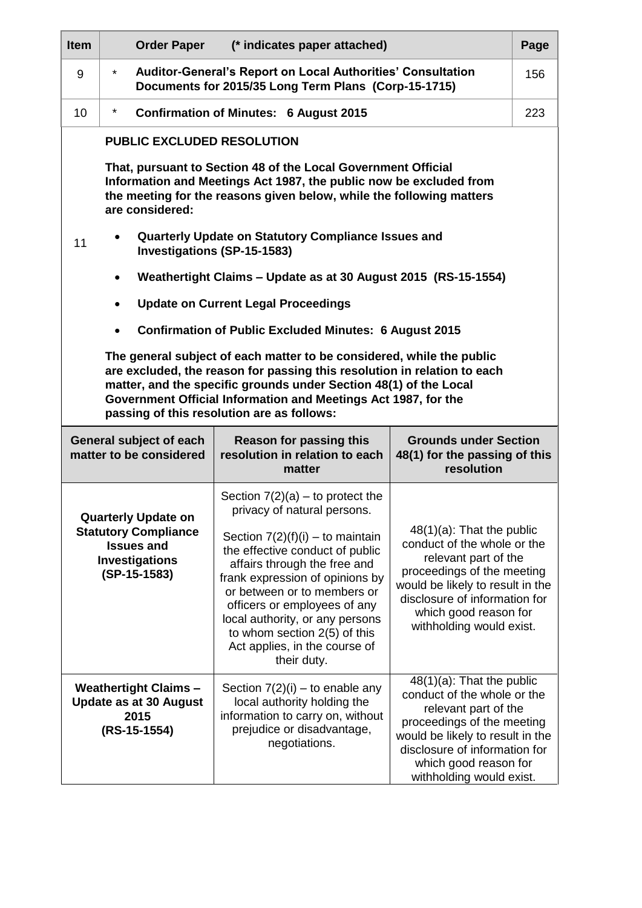| <b>Item</b>                                                                                                                                                                                                                                                                                                                            | <b>Order Paper</b>                                                                                                                                                                                                             | (* indicates paper attached)                                                                                                                                                                                                                                                                                               |                                                                                                                                                                                                                                             | Page |  |  |
|----------------------------------------------------------------------------------------------------------------------------------------------------------------------------------------------------------------------------------------------------------------------------------------------------------------------------------------|--------------------------------------------------------------------------------------------------------------------------------------------------------------------------------------------------------------------------------|----------------------------------------------------------------------------------------------------------------------------------------------------------------------------------------------------------------------------------------------------------------------------------------------------------------------------|---------------------------------------------------------------------------------------------------------------------------------------------------------------------------------------------------------------------------------------------|------|--|--|
| 9                                                                                                                                                                                                                                                                                                                                      | $\star$                                                                                                                                                                                                                        | Auditor-General's Report on Local Authorities' Consultation<br>156<br>Documents for 2015/35 Long Term Plans (Corp-15-1715)                                                                                                                                                                                                 |                                                                                                                                                                                                                                             |      |  |  |
| 10                                                                                                                                                                                                                                                                                                                                     | $\star$                                                                                                                                                                                                                        | <b>Confirmation of Minutes: 6 August 2015</b>                                                                                                                                                                                                                                                                              |                                                                                                                                                                                                                                             | 223  |  |  |
|                                                                                                                                                                                                                                                                                                                                        | <b>PUBLIC EXCLUDED RESOLUTION</b>                                                                                                                                                                                              |                                                                                                                                                                                                                                                                                                                            |                                                                                                                                                                                                                                             |      |  |  |
|                                                                                                                                                                                                                                                                                                                                        | That, pursuant to Section 48 of the Local Government Official<br>Information and Meetings Act 1987, the public now be excluded from<br>the meeting for the reasons given below, while the following matters<br>are considered: |                                                                                                                                                                                                                                                                                                                            |                                                                                                                                                                                                                                             |      |  |  |
| 11                                                                                                                                                                                                                                                                                                                                     | Quarterly Update on Statutory Compliance Issues and<br><b>Investigations (SP-15-1583)</b>                                                                                                                                      |                                                                                                                                                                                                                                                                                                                            |                                                                                                                                                                                                                                             |      |  |  |
|                                                                                                                                                                                                                                                                                                                                        | Weathertight Claims - Update as at 30 August 2015 (RS-15-1554)                                                                                                                                                                 |                                                                                                                                                                                                                                                                                                                            |                                                                                                                                                                                                                                             |      |  |  |
|                                                                                                                                                                                                                                                                                                                                        | <b>Update on Current Legal Proceedings</b>                                                                                                                                                                                     |                                                                                                                                                                                                                                                                                                                            |                                                                                                                                                                                                                                             |      |  |  |
|                                                                                                                                                                                                                                                                                                                                        | <b>Confirmation of Public Excluded Minutes: 6 August 2015</b>                                                                                                                                                                  |                                                                                                                                                                                                                                                                                                                            |                                                                                                                                                                                                                                             |      |  |  |
| The general subject of each matter to be considered, while the public<br>are excluded, the reason for passing this resolution in relation to each<br>matter, and the specific grounds under Section 48(1) of the Local<br>Government Official Information and Meetings Act 1987, for the<br>passing of this resolution are as follows: |                                                                                                                                                                                                                                |                                                                                                                                                                                                                                                                                                                            |                                                                                                                                                                                                                                             |      |  |  |
| General subject of each<br>matter to be considered                                                                                                                                                                                                                                                                                     |                                                                                                                                                                                                                                | <b>Reason for passing this</b><br>resolution in relation to each<br>matter                                                                                                                                                                                                                                                 | <b>Grounds under Section</b><br>48(1) for the passing of this<br>resolution                                                                                                                                                                 |      |  |  |
| <b>Quarterly Update on</b><br><b>Statutory Compliance</b><br><b>Issues and</b><br>Investigations<br>$(SP-15-1583)$                                                                                                                                                                                                                     |                                                                                                                                                                                                                                | Section $7(2)(a)$ – to protect the<br>privacy of natural persons.                                                                                                                                                                                                                                                          |                                                                                                                                                                                                                                             |      |  |  |
|                                                                                                                                                                                                                                                                                                                                        |                                                                                                                                                                                                                                | Section $7(2)(f)(i) -$ to maintain<br>the effective conduct of public<br>affairs through the free and<br>frank expression of opinions by<br>or between or to members or<br>officers or employees of any<br>local authority, or any persons<br>to whom section 2(5) of this<br>Act applies, in the course of<br>their duty. | $48(1)(a)$ : That the public<br>conduct of the whole or the<br>relevant part of the<br>proceedings of the meeting<br>would be likely to result in the<br>disclosure of information for<br>which good reason for<br>withholding would exist. |      |  |  |
| <b>Weathertight Claims -</b><br><b>Update as at 30 August</b><br>2015<br>(RS-15-1554)                                                                                                                                                                                                                                                  |                                                                                                                                                                                                                                | Section $7(2)(i)$ – to enable any<br>local authority holding the<br>information to carry on, without<br>prejudice or disadvantage,<br>negotiations.                                                                                                                                                                        | $48(1)(a)$ : That the public<br>conduct of the whole or the<br>relevant part of the<br>proceedings of the meeting<br>would be likely to result in the<br>disclosure of information for<br>which good reason for<br>withholding would exist. |      |  |  |